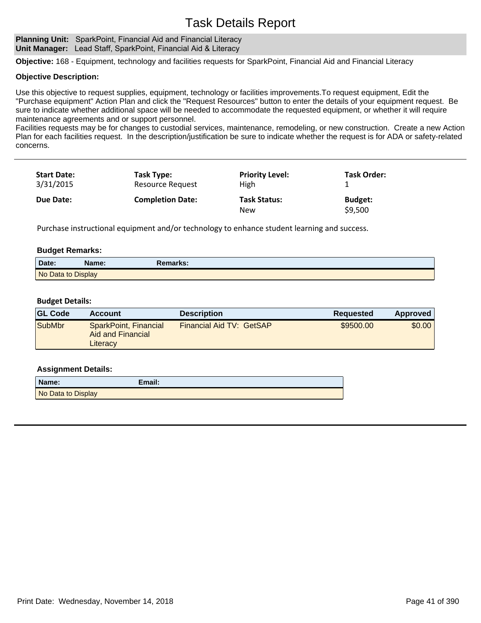## Task Details Report

#### **Planning Unit:** SparkPoint, Financial Aid and Financial Literacy **Unit Manager:** Lead Staff, SparkPoint, Financial Aid & Literacy

**Objective:** 168 - Equipment, technology and facilities requests for SparkPoint, Financial Aid and Financial Literacy

#### **Objective Description:**

Use this objective to request supplies, equipment, technology or facilities improvements.To request equipment, Edit the "Purchase equipment" Action Plan and click the "Request Resources" button to enter the details of your equipment request. Be sure to indicate whether additional space will be needed to accommodate the requested equipment, or whether it will require maintenance agreements and or support personnel.

Facilities requests may be for changes to custodial services, maintenance, remodeling, or new construction. Create a new Action Plan for each facilities request. In the description/justification be sure to indicate whether the request is for ADA or safety-related concerns.

| <b>Start Date:</b> | Task Type:              | <b>Priority Level:</b>     | Task Order:               |
|--------------------|-------------------------|----------------------------|---------------------------|
| 3/31/2015          | <b>Resource Request</b> | High                       |                           |
| Due Date:          | <b>Completion Date:</b> | <b>Task Status:</b><br>New | <b>Budget:</b><br>\$9,500 |

Purchase instructional equipment and/or technology to enhance student learning and success.

#### **Budget Remarks:**

| Date:              | Name: | Remarks: |  |
|--------------------|-------|----------|--|
| No Data to Display |       |          |  |

#### **Budget Details:**

| <b>GL Code</b> | <b>Account</b>                                         | <b>Description</b>       | Reguested | Approved |
|----------------|--------------------------------------------------------|--------------------------|-----------|----------|
| <b>SubMbr</b>  | SparkPoint, Financial<br>Aid and Financial<br>Literacy | Financial Aid TV: GetSAP | \$9500.00 | \$0.00   |

#### **Assignment Details:**

| Name:              | Email: |
|--------------------|--------|
| No Data to Display |        |